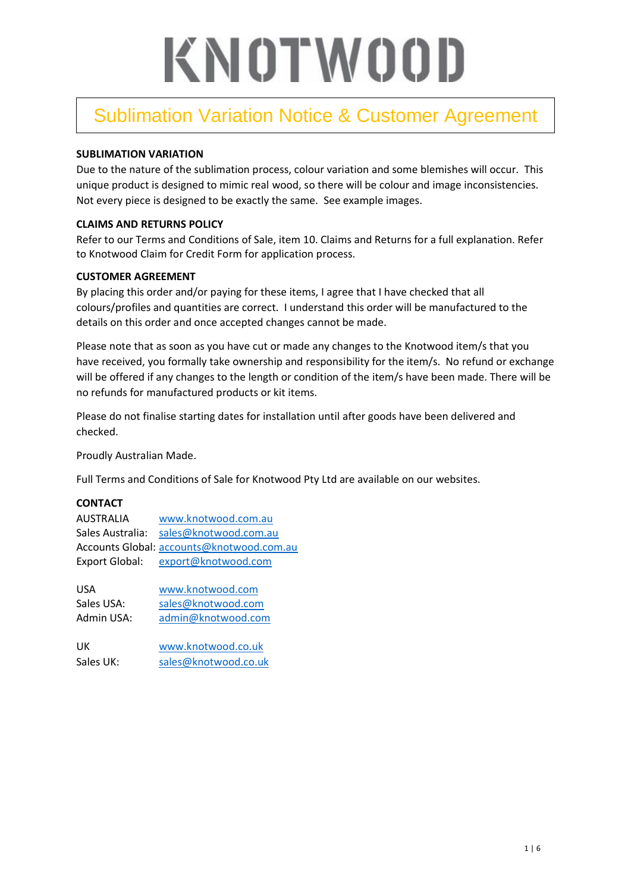### Sublimation Variation Notice & Customer Agreement

#### **SUBLIMATION VARIATION**

Due to the nature of the sublimation process, colour variation and some blemishes will occur. This unique product is designed to mimic real wood, so there will be colour and image inconsistencies. Not every piece is designed to be exactly the same. See example images.

#### **CLAIMS AND RETURNS POLICY**

Refer to our Terms and Conditions of Sale, item 10. Claims and Returns for a full explanation. Refer to Knotwood Claim for Credit Form for application process.

#### **CUSTOMER AGREEMENT**

By placing this order and/or paying for these items, I agree that I have checked that all colours/profiles and quantities are correct. I understand this order will be manufactured to the details on this order and once accepted changes cannot be made.

Please note that as soon as you have cut or made any changes to the Knotwood item/s that you have received, you formally take ownership and responsibility for the item/s. No refund or exchange will be offered if any changes to the length or condition of the item/s have been made. There will be no refunds for manufactured products or kit items.

Please do not finalise starting dates for installation until after goods have been delivered and checked.

Proudly Australian Made.

Full Terms and Conditions of Sale for Knotwood Pty Ltd are available on our websites.

#### **CONTACT**

| <b>AUSTRALIA</b>      | www.knotwood.com.au                       |
|-----------------------|-------------------------------------------|
| Sales Australia:      | sales@knotwood.com.au                     |
|                       | Accounts Global: accounts@knotwood.com.au |
| <b>Export Global:</b> | export@knotwood.com                       |

| USA        | www.knotwood.com   |
|------------|--------------------|
| Sales USA: | sales@knotwood.com |
| Admin USA: | admin@knotwood.com |
|            |                    |

UK [www.knotwood.co.uk](http://www.knotwood.co.uk/) Sales UK: [sales@knotwood.co.uk](mailto:sales@knotwood.co.uk)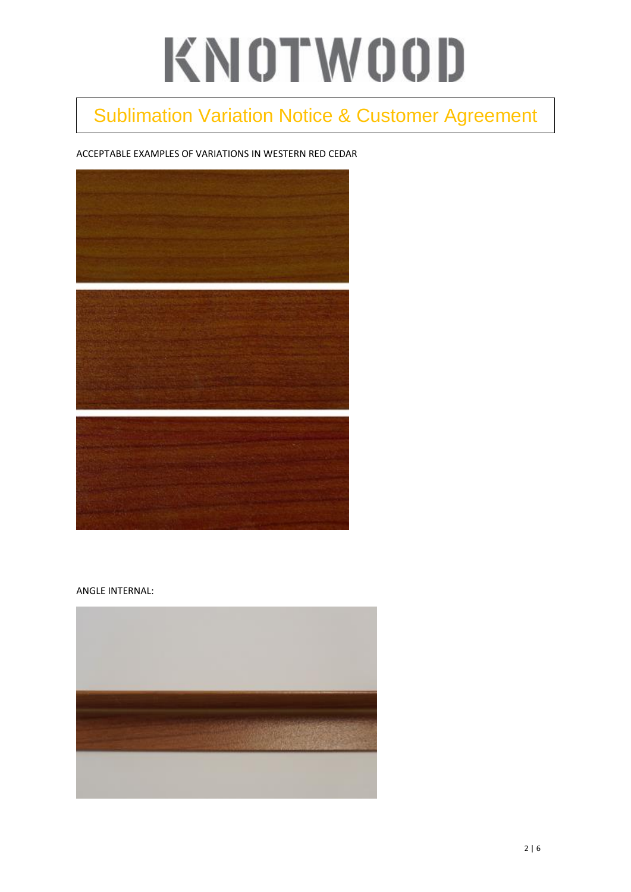## Sublimation Variation Notice & Customer Agreement

#### ACCEPTABLE EXAMPLES OF VARIATIONS IN WESTERN RED CEDAR



#### ANGLE INTERNAL:

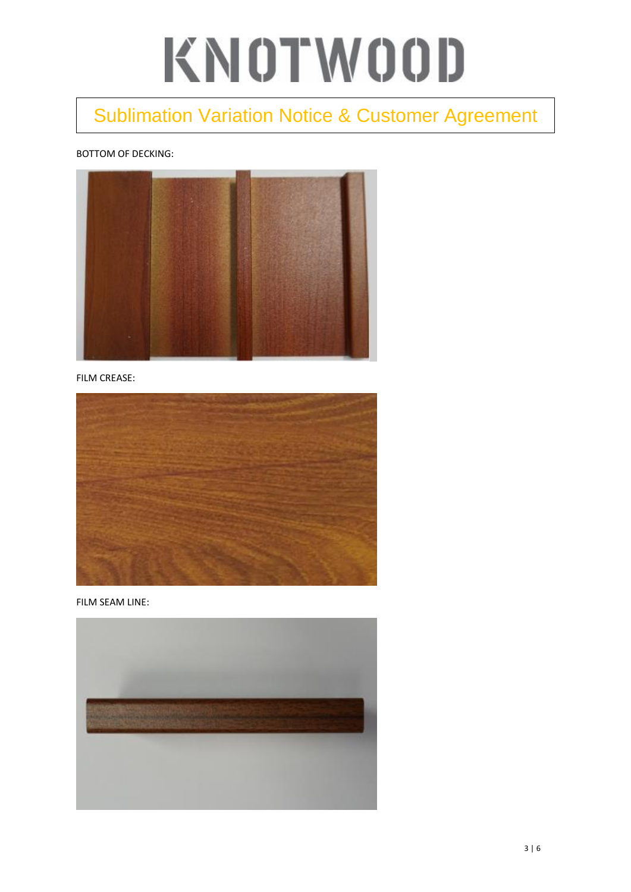### Sublimation Variation Notice & Customer Agreement

#### BOTTOM OF DECKING:



FILM CREASE:



FILM SEAM LINE:

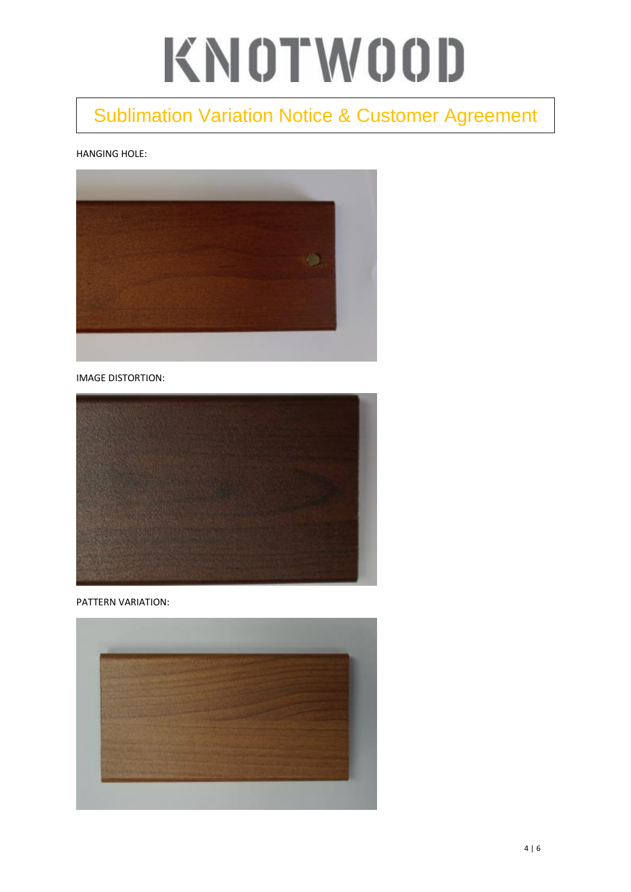### Sublimation Variation Notice & Customer Agreement

#### HANGING HOLE:



IMAGE DISTORTION:



PATTERN VARIATION:

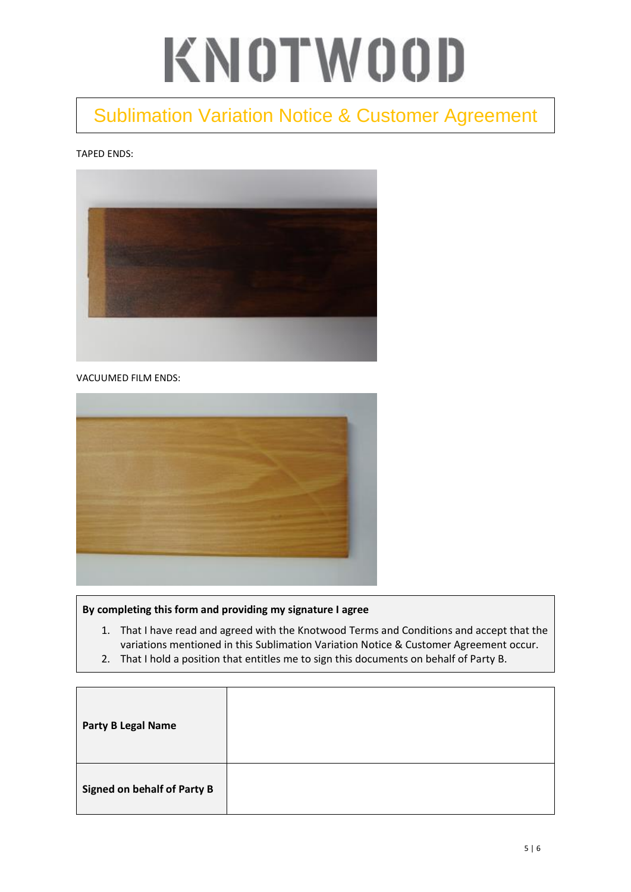### Sublimation Variation Notice & Customer Agreement

#### TAPED ENDS:



#### VACUUMED FILM ENDS:



#### **By completing this form and providing my signature I agree**

- 1. That I have read and agreed with the Knotwood Terms and Conditions and accept that the variations mentioned in this Sublimation Variation Notice & Customer Agreement occur.
- 2. That I hold a position that entitles me to sign this documents on behalf of Party B.

| <b>Party B Legal Name</b>          |  |
|------------------------------------|--|
| <b>Signed on behalf of Party B</b> |  |